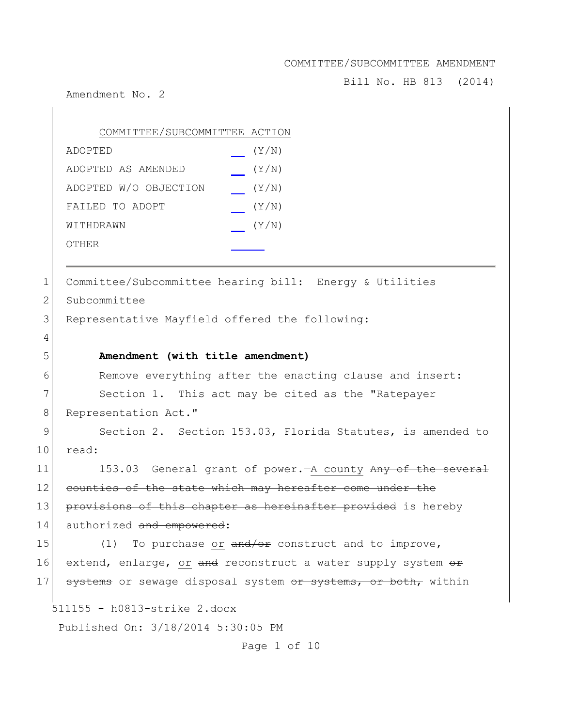Bill No. HB 813 (2014)

Amendment No. 2

 $\overline{1}$ 

|             | COMMITTEE/SUBCOMMITTEE ACTION                                 |
|-------------|---------------------------------------------------------------|
|             | (Y/N)<br>ADOPTED                                              |
|             | (Y/N)<br>ADOPTED AS AMENDED                                   |
|             | ADOPTED W/O OBJECTION<br>(Y/N)                                |
|             | FAILED TO ADOPT<br>(Y/N)                                      |
|             | (Y/N)<br>WITHDRAWN                                            |
|             | OTHER                                                         |
|             |                                                               |
| 1           | Committee/Subcommittee hearing bill: Energy & Utilities       |
| 2           | Subcommittee                                                  |
| 3           | Representative Mayfield offered the following:                |
| 4           |                                                               |
| 5           | Amendment (with title amendment)                              |
| 6           | Remove everything after the enacting clause and insert:       |
| 7           | Section 1. This act may be cited as the "Ratepayer            |
| $8\,$       | Representation Act."                                          |
| $\mathsf 9$ | Section 2. Section 153.03, Florida Statutes, is amended to    |
| 10          | read:                                                         |
| 11          | 153.03 General grant of power. A county Any of the several    |
| 12          | counties of the state which may hereafter come under the      |
| 13          | provisions of this chapter as hereinafter provided is hereby  |
| 14          | authorized and empowered:                                     |
| 15          | To purchase or and/or construct and to improve,<br>(1)        |
| 16          | extend, enlarge, or and reconstruct a water supply system or  |
| 17          | systems or sewage disposal system or systems, or both, within |
|             | 511155 - h0813-strike 2.docx                                  |
|             | Published On: 3/18/2014 5:30:05 PM                            |
|             | Page 1 of 10                                                  |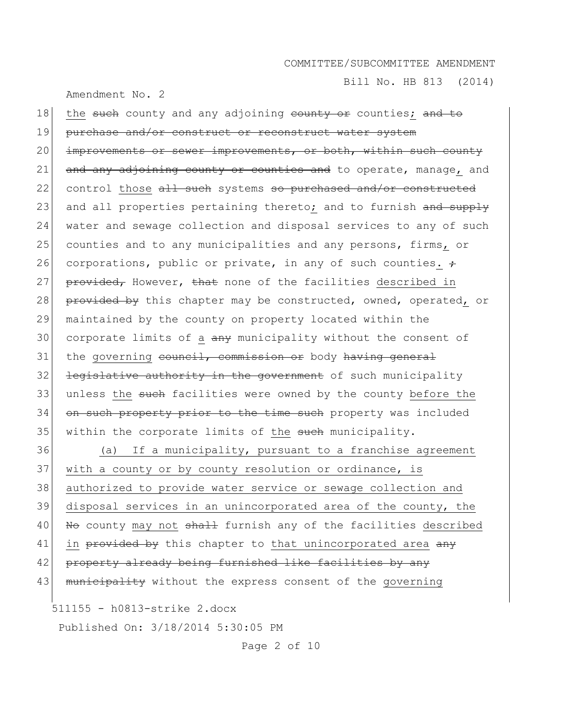Bill No. HB 813 (2014)

Amendment No. 2

18 the such county and any adjoining county or counties; and to 19 purchase and/or construct or reconstruct water system 20 improvements or sewer improvements, or both, within such county 21  $\vert$  and any adjoining county or counties and to operate, manage, and 22 control those all such systems so purchased and/or constructed 23 and all properties pertaining thereto; and to furnish and supply 24 water and sewage collection and disposal services to any of such 25 counties and to any municipalities and any persons, firms, or 26 corporations, public or private, in any of such counties.  $\div$ 27 provided, However, that none of the facilities described in 28 provided by this chapter may be constructed, owned, operated, or 29 maintained by the county on property located within the  $30$  corporate limits of a  $\frac{1}{2}$  municipality without the consent of  $31$  the governing council, commission or body having general  $32$  <del>legislative authority in the government</del> of such municipality 33 unless the such facilities were owned by the county before the 34 on such property prior to the time such property was included 35 within the corporate limits of the such municipality. 36 (a) If a municipality, pursuant to a franchise agreement

37 with a county or by county resolution or ordinance, is 38 authorized to provide water service or sewage collection and 39 disposal services in an unincorporated area of the county, the 40 No county may not shall furnish any of the facilities described 41 in  $\frac{1}{2}$  in provided by this chapter to that unincorporated area  $\frac{1}{2}$ 42 property already being furnished like facilities by any 43 municipality without the express consent of the governing

511155 - h0813-strike 2.docx

Published On: 3/18/2014 5:30:05 PM

Page 2 of 10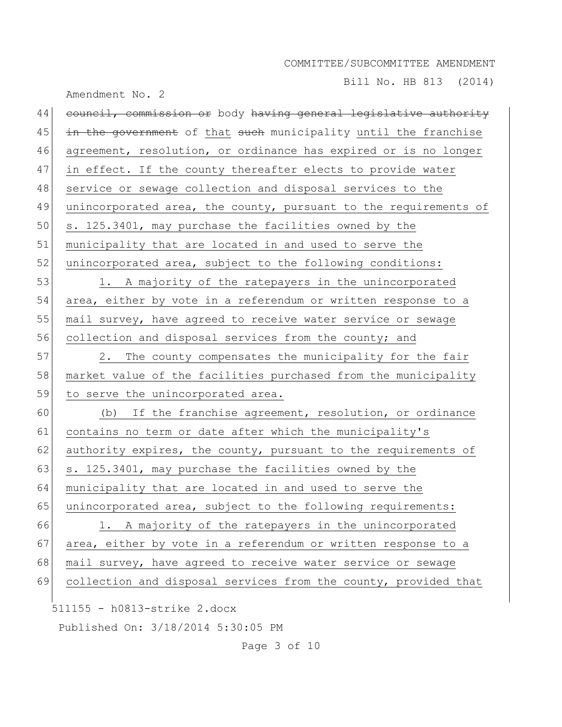Bill No. HB 813 (2014)

| Amendment No. 2                                                        |
|------------------------------------------------------------------------|
| 44<br>council, commission or body having general legislative authority |
| 45<br>in the government of that such municipality until the franchise  |
| 46<br>agreement, resolution, or ordinance has expired or is no longer  |
| 47<br>in effect. If the county thereafter elects to provide water      |
| 48<br>service or sewage collection and disposal services to the        |
| 49<br>unincorporated area, the county, pursuant to the requirements of |
| 50<br>s. 125.3401, may purchase the facilities owned by the            |
| 51<br>municipality that are located in and used to serve the           |
| 52<br>unincorporated area, subject to the following conditions:        |
| 53<br>1. A majority of the ratepayers in the unincorporated            |
| 54<br>area, either by vote in a referendum or written response to a    |
| 55<br>mail survey, have agreed to receive water service or sewage      |
| 56<br>collection and disposal services from the county; and            |
| 57<br>The county compensates the municipality for the fair<br>2.       |
| 58<br>market value of the facilities purchased from the municipality   |
| 59<br>to serve the unincorporated area.                                |
| 60<br>If the franchise agreement, resolution, or ordinance<br>(b)      |
| 61<br>contains no term or date after which the municipality's          |
| 62<br>authority expires, the county, pursuant to the requirements of   |
| 63<br>s. 125.3401, may purchase the facilities owned by the            |
| 64<br>municipality that are located in and used to serve the           |
| 65<br>unincorporated area, subject to the following requirements:      |
| 66<br>A majority of the ratepayers in the unincorporated<br>1.         |
| 67<br>area, either by vote in a referendum or written response to a    |
| 68<br>mail survey, have agreed to receive water service or sewage      |
| 69<br>collection and disposal services from the county, provided that  |
| 511155 - h0813-strike 2.docx                                           |
| Published On: 3/18/2014 5:30:05 PM                                     |

Page 3 of 10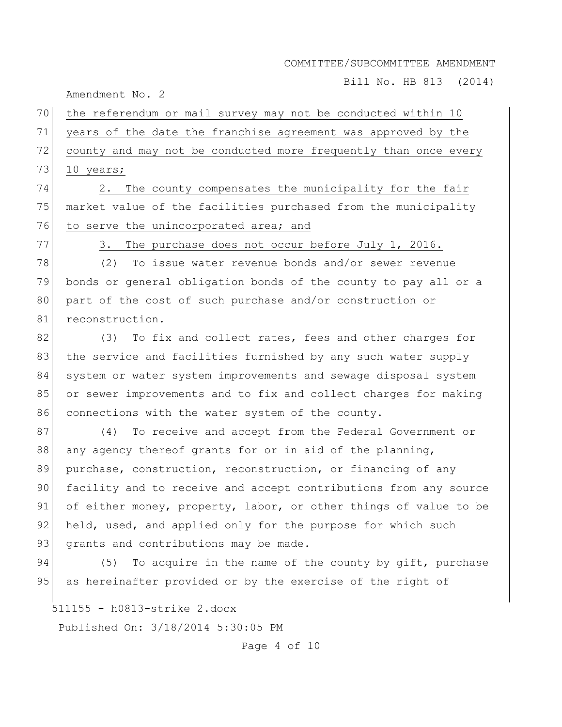Bill No. HB 813 (2014)

Amendment No. 2

# 70 the referendum or mail survey may not be conducted within 10 71 years of the date the franchise agreement was approved by the 72 county and may not be conducted more frequently than once every 73 10 years;

74 2. The county compensates the municipality for the fair 75 market value of the facilities purchased from the municipality 76 to serve the unincorporated area; and

77 3. The purchase does not occur before July 1, 2016.

78 (2) To issue water revenue bonds and/or sewer revenue 79 bonds or general obligation bonds of the county to pay all or a 80 part of the cost of such purchase and/or construction or 81 reconstruction.

82 (3) To fix and collect rates, fees and other charges for 83 the service and facilities furnished by any such water supply 84 system or water system improvements and sewage disposal system 85 or sewer improvements and to fix and collect charges for making 86 connections with the water system of the county.

87 (4) To receive and accept from the Federal Government or 88 any agency thereof grants for or in aid of the planning, 89 purchase, construction, reconstruction, or financing of any 90 facility and to receive and accept contributions from any source 91 of either money, property, labor, or other things of value to be 92 held, used, and applied only for the purpose for which such 93 grants and contributions may be made.

94 (5) To acquire in the name of the county by gift, purchase 95 as hereinafter provided or by the exercise of the right of

511155 - h0813-strike 2.docx

Published On: 3/18/2014 5:30:05 PM

Page 4 of 10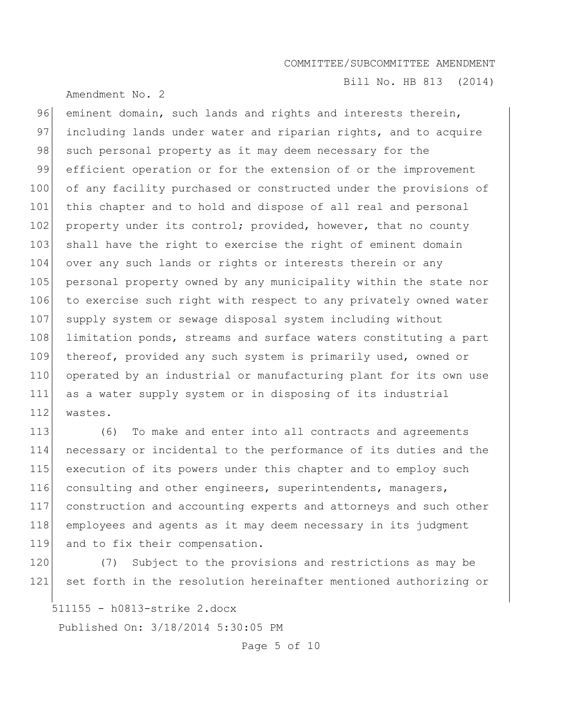Amendment No. 2

Bill No. HB 813 (2014)

96 eminent domain, such lands and rights and interests therein, 97 including lands under water and riparian rights, and to acquire 98 such personal property as it may deem necessary for the 99 efficient operation or for the extension of or the improvement 100 of any facility purchased or constructed under the provisions of 101 this chapter and to hold and dispose of all real and personal 102 property under its control; provided, however, that no county 103 shall have the right to exercise the right of eminent domain 104 over any such lands or rights or interests therein or any 105 personal property owned by any municipality within the state nor 106 to exercise such right with respect to any privately owned water 107 supply system or sewage disposal system including without 108 limitation ponds, streams and surface waters constituting a part 109 thereof, provided any such system is primarily used, owned or 110 operated by an industrial or manufacturing plant for its own use 111 as a water supply system or in disposing of its industrial 112 wastes.

113 (6) To make and enter into all contracts and agreements 114 necessary or incidental to the performance of its duties and the 115 execution of its powers under this chapter and to employ such 116 consulting and other engineers, superintendents, managers, 117 construction and accounting experts and attorneys and such other 118 employees and agents as it may deem necessary in its judgment 119 and to fix their compensation.

120 (7) Subject to the provisions and restrictions as may be 121 set forth in the resolution hereinafter mentioned authorizing or

511155 - h0813-strike 2.docx

Published On: 3/18/2014 5:30:05 PM

Page 5 of 10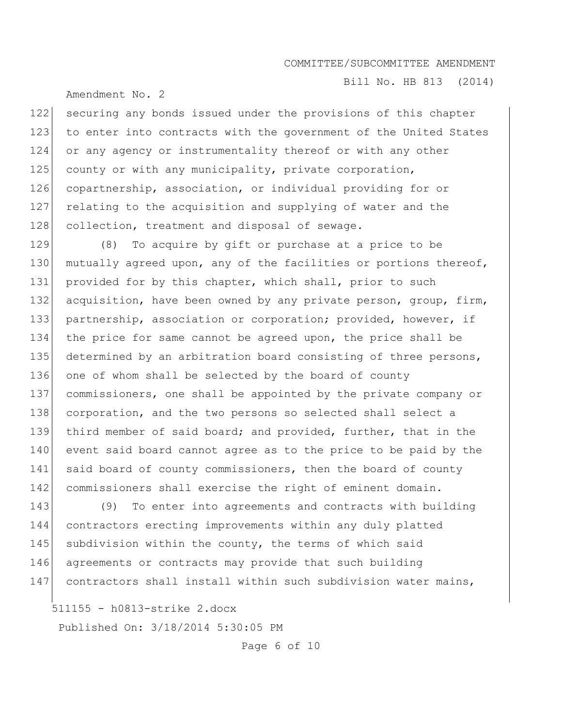Bill No. HB 813 (2014)

Amendment No. 2

122 securing any bonds issued under the provisions of this chapter 123 to enter into contracts with the government of the United States 124 or any agency or instrumentality thereof or with any other 125 county or with any municipality, private corporation, 126 copartnership, association, or individual providing for or 127 relating to the acquisition and supplying of water and the 128 collection, treatment and disposal of sewage.

129 (8) To acquire by gift or purchase at a price to be 130 mutually agreed upon, any of the facilities or portions thereof, 131 provided for by this chapter, which shall, prior to such 132 acquisition, have been owned by any private person, group, firm, 133 partnership, association or corporation; provided, however, if 134 the price for same cannot be agreed upon, the price shall be 135 determined by an arbitration board consisting of three persons, 136 one of whom shall be selected by the board of county 137 commissioners, one shall be appointed by the private company or 138 corporation, and the two persons so selected shall select a 139 third member of said board; and provided, further, that in the 140 event said board cannot agree as to the price to be paid by the 141 said board of county commissioners, then the board of county 142 commissioners shall exercise the right of eminent domain.

143 (9) To enter into agreements and contracts with building 144 contractors erecting improvements within any duly platted 145 subdivision within the county, the terms of which said 146 agreements or contracts may provide that such building 147 contractors shall install within such subdivision water mains,

511155 - h0813-strike 2.docx

Published On: 3/18/2014 5:30:05 PM

Page 6 of 10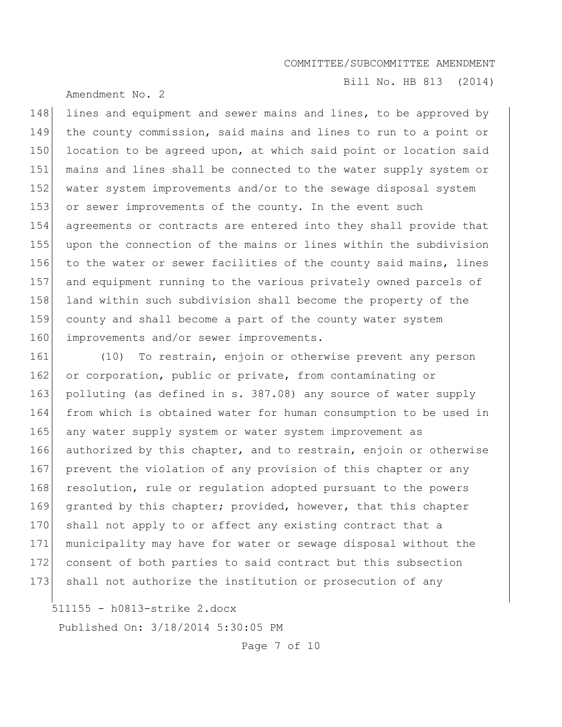Amendment No. 2

Bill No. HB 813 (2014)

148 lines and equipment and sewer mains and lines, to be approved by 149 the county commission, said mains and lines to run to a point or 150 location to be agreed upon, at which said point or location said 151 mains and lines shall be connected to the water supply system or 152 water system improvements and/or to the sewage disposal system 153 or sewer improvements of the county. In the event such 154 agreements or contracts are entered into they shall provide that 155 upon the connection of the mains or lines within the subdivision 156 to the water or sewer facilities of the county said mains, lines 157 and equipment running to the various privately owned parcels of 158 land within such subdivision shall become the property of the 159 county and shall become a part of the county water system 160 improvements and/or sewer improvements.

161 (10) To restrain, enjoin or otherwise prevent any person 162 or corporation, public or private, from contaminating or 163 polluting (as defined in s. 387.08) any source of water supply 164 from which is obtained water for human consumption to be used in 165 any water supply system or water system improvement as 166 authorized by this chapter, and to restrain, enjoin or otherwise 167 prevent the violation of any provision of this chapter or any 168 resolution, rule or regulation adopted pursuant to the powers 169 granted by this chapter; provided, however, that this chapter 170 shall not apply to or affect any existing contract that a 171 municipality may have for water or sewage disposal without the 172 consent of both parties to said contract but this subsection 173 shall not authorize the institution or prosecution of any

511155 - h0813-strike 2.docx

Published On: 3/18/2014 5:30:05 PM

Page 7 of 10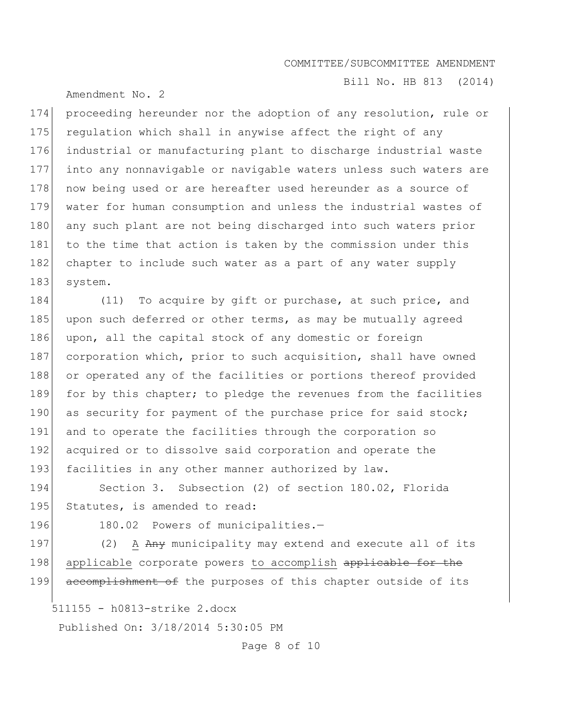Bill No. HB 813 (2014)

Amendment No. 2

174 proceeding hereunder nor the adoption of any resolution, rule or 175 requlation which shall in anywise affect the right of any 176 industrial or manufacturing plant to discharge industrial waste 177 into any nonnavigable or navigable waters unless such waters are 178 now being used or are hereafter used hereunder as a source of 179 water for human consumption and unless the industrial wastes of 180 any such plant are not being discharged into such waters prior 181 to the time that action is taken by the commission under this 182 chapter to include such water as a part of any water supply 183 system.

184 (11) To acquire by gift or purchase, at such price, and 185 upon such deferred or other terms, as may be mutually agreed 186 upon, all the capital stock of any domestic or foreign 187 corporation which, prior to such acquisition, shall have owned 188 or operated any of the facilities or portions thereof provided 189 for by this chapter; to pledge the revenues from the facilities 190 as security for payment of the purchase price for said stock; 191 and to operate the facilities through the corporation so 192 acquired or to dissolve said corporation and operate the 193 facilities in any other manner authorized by law.

194 Section 3. Subsection (2) of section 180.02, Florida 195 Statutes, is amended to read:

196 180.02 Powers of municipalities.-

197 (2) A Any municipality may extend and execute all of its 198 applicable corporate powers to accomplish applicable for the 199 accomplishment of the purposes of this chapter outside of its

511155 - h0813-strike 2.docx

Published On: 3/18/2014 5:30:05 PM

Page 8 of 10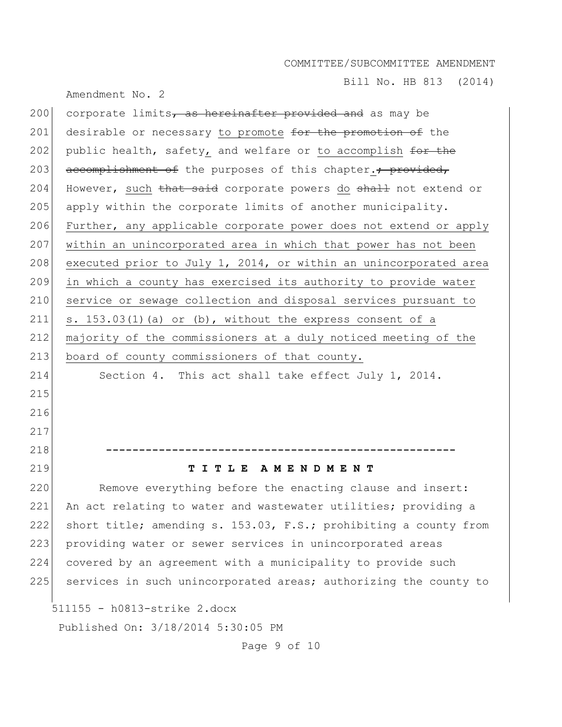Bill No. HB 813 (2014)

| Amendment No. 2 |  |  |
|-----------------|--|--|
|                 |  |  |

| 200                          | corporate limits, as hereinafter provided and as may be                |  |  |  |
|------------------------------|------------------------------------------------------------------------|--|--|--|
| 201                          | desirable or necessary to promote for the promotion of the             |  |  |  |
| 202                          | public health, safety, and welfare or to accomplish for the            |  |  |  |
| 203                          | accomplishment of the purposes of this chapter. <sup>+</sup> provided, |  |  |  |
| 204                          | However, such that said corporate powers do shall not extend or        |  |  |  |
| 205                          | apply within the corporate limits of another municipality.             |  |  |  |
| 206                          | Further, any applicable corporate power does not extend or apply       |  |  |  |
| 207                          | within an unincorporated area in which that power has not been         |  |  |  |
| 208                          | executed prior to July 1, 2014, or within an unincorporated area       |  |  |  |
| 209                          | in which a county has exercised its authority to provide water         |  |  |  |
| 210                          | service or sewage collection and disposal services pursuant to         |  |  |  |
| 211                          | s. $153.03(1)$ (a) or (b), without the express consent of a            |  |  |  |
| 212                          | majority of the commissioners at a duly noticed meeting of the         |  |  |  |
| 213                          | board of county commissioners of that county.                          |  |  |  |
| 214                          | Section 4. This act shall take effect July 1, 2014.                    |  |  |  |
| 215                          |                                                                        |  |  |  |
| 216                          |                                                                        |  |  |  |
| 217                          |                                                                        |  |  |  |
| 218                          |                                                                        |  |  |  |
| 219                          | TITLE AMENDMENT                                                        |  |  |  |
| 220                          | Remove everything before the enacting clause and insert:               |  |  |  |
| 221                          | An act relating to water and wastewater utilities; providing a         |  |  |  |
| 222                          | short title; amending s. 153.03, F.S.; prohibiting a county from       |  |  |  |
| 223                          | providing water or sewer services in unincorporated areas              |  |  |  |
| 224                          | covered by an agreement with a municipality to provide such            |  |  |  |
| 225                          | services in such unincorporated areas; authorizing the county to       |  |  |  |
| 511155 - h0813-strike 2.docx |                                                                        |  |  |  |
|                              | Published On: 3/18/2014 5:30:05 PM                                     |  |  |  |

Page 9 of 10